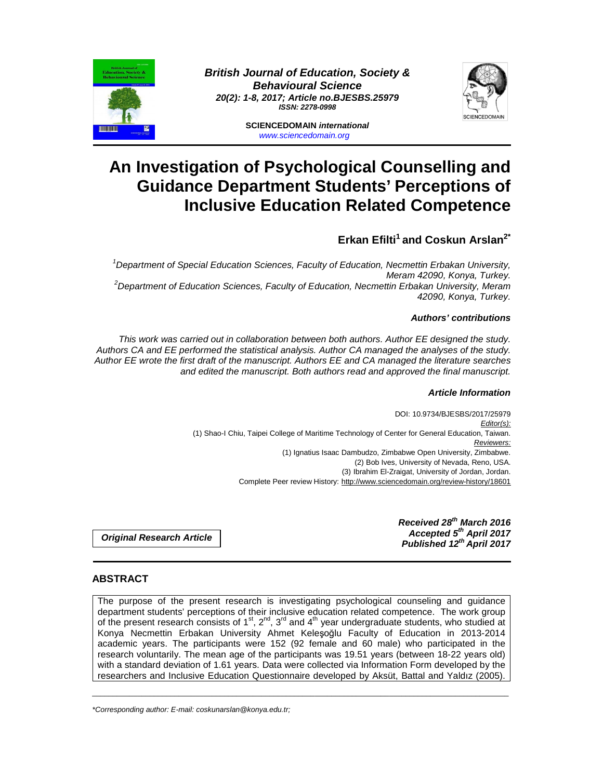

**British Journal of Education, Society & Behavioural Science 20(2): 1-8, 2017; Article no.BJESBS.25979 ISSN: 2278-0998** 



**SCIENCEDOMAIN international**  www.sciencedomain.org

# **An Investigation of Psychological Counselling and Guidance Department Students' Perceptions of Inclusive Education Related Competence**

## **Erkan Efilti<sup>1</sup>and Coskun Arslan2\***

 $1$ Department of Special Education Sciences, Faculty of Education, Necmettin Erbakan University, Meram 42090, Konya, Turkey.  $2$ Department of Education Sciences, Faculty of Education, Necmettin Erbakan University, Meram 42090, Konya, Turkey.

## **Authors' contributions**

This work was carried out in collaboration between both authors. Author EE designed the study. Authors CA and EE performed the statistical analysis. Author CA managed the analyses of the study. Author EE wrote the first draft of the manuscript. Authors EE and CA managed the literature searches and edited the manuscript. Both authors read and approved the final manuscript.

## **Article Information**

DOI: 10.9734/BJESBS/2017/25979 Editor(s): (1) Shao-I Chiu, Taipei College of Maritime Technology of Center for General Education, Taiwan. Reviewers: (1) Ignatius Isaac Dambudzo, Zimbabwe Open University, Zimbabwe. (2) Bob Ives, University of Nevada, Reno, USA. (3) Ibrahim El-Zraigat, University of Jordan, Jordan. Complete Peer review History: http://www.sciencedomain.org/review-history/18601

**Original Research Article** 

**Received 28th March 2016 Accepted 5th April 2017 Published 12th April 2017**

## **ABSTRACT**

The purpose of the present research is investigating psychological counseling and guidance department students' perceptions of their inclusive education related competence. The work group of the present research consists of  $1<sup>st</sup>$ ,  $2<sup>nd</sup>$ ,  $3<sup>rd</sup>$  and  $4<sup>th</sup>$  year undergraduate students, who studied at Konya Necmettin Erbakan University Ahmet Keleşoğlu Faculty of Education in 2013-2014 academic years. The participants were 152 (92 female and 60 male) who participated in the research voluntarily. The mean age of the participants was 19.51 years (between 18-22 years old) with a standard deviation of 1.61 years. Data were collected via Information Form developed by the researchers and Inclusive Education Questionnaire developed by Aksüt, Battal and Yaldız (2005).

\_\_\_\_\_\_\_\_\_\_\_\_\_\_\_\_\_\_\_\_\_\_\_\_\_\_\_\_\_\_\_\_\_\_\_\_\_\_\_\_\_\_\_\_\_\_\_\_\_\_\_\_\_\_\_\_\_\_\_\_\_\_\_\_\_\_\_\_\_\_\_\_\_\_\_\_\_\_\_\_\_\_\_\_\_\_\_\_\_\_\_\_\_\_\_\_\_\_\_\_\_

\*Corresponding author: E-mail: coskunarslan@konya.edu.tr;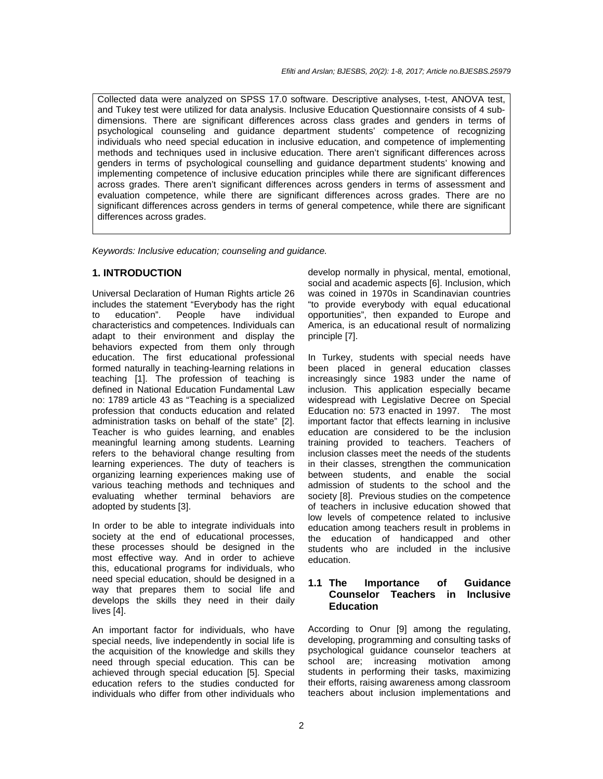Collected data were analyzed on SPSS 17.0 software. Descriptive analyses, t-test, ANOVA test, and Tukey test were utilized for data analysis. Inclusive Education Questionnaire consists of 4 subdimensions. There are significant differences across class grades and genders in terms of psychological counseling and guidance department students' competence of recognizing individuals who need special education in inclusive education, and competence of implementing methods and techniques used in inclusive education. There aren't significant differences across genders in terms of psychological counselling and guidance department students' knowing and implementing competence of inclusive education principles while there are significant differences across grades. There aren't significant differences across genders in terms of assessment and evaluation competence, while there are significant differences across grades. There are no significant differences across genders in terms of general competence, while there are significant differences across grades.

Keywords: Inclusive education; counseling and guidance.

### **1. INTRODUCTION**

Universal Declaration of Human Rights article 26 includes the statement "Everybody has the right to education". People have individual characteristics and competences. Individuals can adapt to their environment and display the behaviors expected from them only through education. The first educational professional formed naturally in teaching-learning relations in teaching [1]. The profession of teaching is defined in National Education Fundamental Law no: 1789 article 43 as "Teaching is a specialized profession that conducts education and related administration tasks on behalf of the state" [2]. Teacher is who guides learning, and enables meaningful learning among students. Learning refers to the behavioral change resulting from learning experiences. The duty of teachers is organizing learning experiences making use of various teaching methods and techniques and evaluating whether terminal behaviors are adopted by students [3].

In order to be able to integrate individuals into society at the end of educational processes, these processes should be designed in the most effective way. And in order to achieve this, educational programs for individuals, who need special education, should be designed in a way that prepares them to social life and develops the skills they need in their daily lives [4].

An important factor for individuals, who have special needs, live independently in social life is the acquisition of the knowledge and skills they need through special education. This can be achieved through special education [5]. Special education refers to the studies conducted for individuals who differ from other individuals who

develop normally in physical, mental, emotional, social and academic aspects [6]. Inclusion, which was coined in 1970s in Scandinavian countries "to provide everybody with equal educational opportunities", then expanded to Europe and America, is an educational result of normalizing principle [7].

In Turkey, students with special needs have been placed in general education classes increasingly since 1983 under the name of inclusion. This application especially became widespread with Legislative Decree on Special Education no: 573 enacted in 1997. The most important factor that effects learning in inclusive education are considered to be the inclusion training provided to teachers. Teachers of inclusion classes meet the needs of the students in their classes, strengthen the communication between students, and enable the social admission of students to the school and the society [8]. Previous studies on the competence of teachers in inclusive education showed that low levels of competence related to inclusive education among teachers result in problems in the education of handicapped and other students who are included in the inclusive education.

## **1.1 The Importance of Guidance Counselor Teachers in Inclusive Education**

According to Onur [9] among the regulating, developing, programming and consulting tasks of psychological guidance counselor teachers at school are; increasing motivation among students in performing their tasks, maximizing their efforts, raising awareness among classroom teachers about inclusion implementations and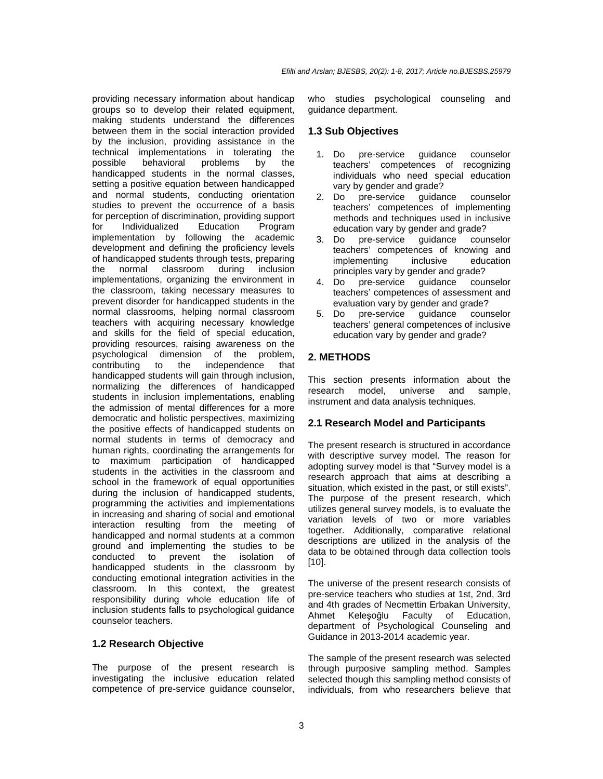providing necessary information about handicap groups so to develop their related equipment, making students understand the differences between them in the social interaction provided by the inclusion, providing assistance in the technical implementations in tolerating the possible behavioral problems by the handicapped students in the normal classes, setting a positive equation between handicapped and normal students, conducting orientation studies to prevent the occurrence of a basis for perception of discrimination, providing support for Individualized Education Program implementation by following the academic development and defining the proficiency levels of handicapped students through tests, preparing the normal classroom during inclusion implementations, organizing the environment in the classroom, taking necessary measures to prevent disorder for handicapped students in the normal classrooms, helping normal classroom teachers with acquiring necessary knowledge and skills for the field of special education, providing resources, raising awareness on the psychological dimension of the problem, contributing to the independence that handicapped students will gain through inclusion, normalizing the differences of handicapped students in inclusion implementations, enabling the admission of mental differences for a more democratic and holistic perspectives, maximizing the positive effects of handicapped students on normal students in terms of democracy and human rights, coordinating the arrangements for to maximum participation of handicapped students in the activities in the classroom and school in the framework of equal opportunities during the inclusion of handicapped students, programming the activities and implementations in increasing and sharing of social and emotional interaction resulting from the meeting of handicapped and normal students at a common ground and implementing the studies to be conducted to prevent the isolation of handicapped students in the classroom by conducting emotional integration activities in the classroom. In this context, the greatest responsibility during whole education life of inclusion students falls to psychological guidance counselor teachers.

#### **1.2 Research Objective**

The purpose of the present research is investigating the inclusive education related competence of pre-service guidance counselor, who studies psychological counseling and guidance department.

#### **1.3 Sub Objectives**

- 1. Do pre-service guidance counselor teachers' competences of recognizing individuals who need special education vary by gender and grade?<br>2. Do pre-service quidan
- pre-service guidance counselor teachers' competences of implementing methods and techniques used in inclusive education vary by gender and grade?
- 3. Do pre-service guidance counselor teachers' competences of knowing and<br>implementing inclusive education implementing principles vary by gender and grade?
- 4. Do pre-service guidance counselor teachers' competences of assessment and evaluation vary by gender and grade?
- 5. Do pre-service guidance counselor teachers' general competences of inclusive education vary by gender and grade?

## **2. METHODS**

This section presents information about the research model, universe and sample, instrument and data analysis techniques.

#### **2.1 Research Model and Participants**

The present research is structured in accordance with descriptive survey model. The reason for adopting survey model is that "Survey model is a research approach that aims at describing a situation, which existed in the past, or still exists". The purpose of the present research, which utilizes general survey models, is to evaluate the variation levels of two or more variables together. Additionally, comparative relational descriptions are utilized in the analysis of the data to be obtained through data collection tools [10].

The universe of the present research consists of pre-service teachers who studies at 1st, 2nd, 3rd and 4th grades of Necmettin Erbakan University, Ahmet Keleşoğlu Faculty of Education, department of Psychological Counseling and Guidance in 2013-2014 academic year.

The sample of the present research was selected through purposive sampling method. Samples selected though this sampling method consists of individuals, from who researchers believe that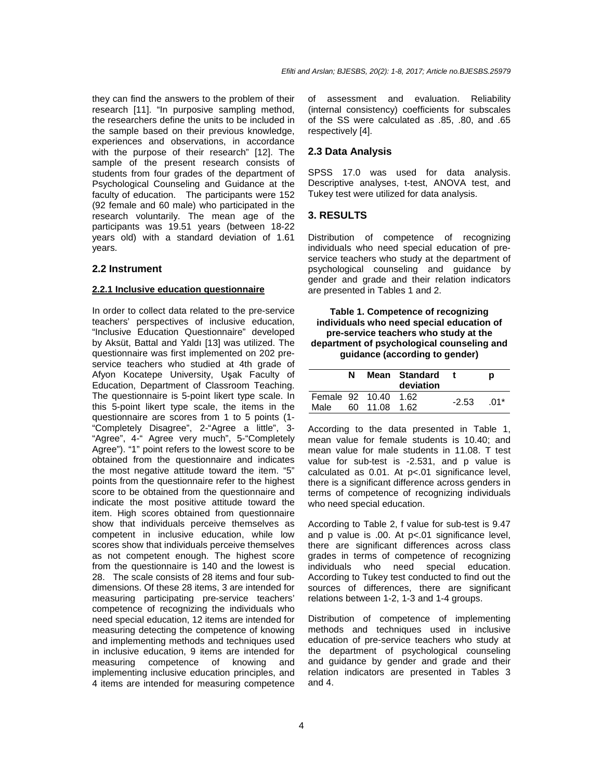they can find the answers to the problem of their research [11]. "In purposive sampling method, the researchers define the units to be included in the sample based on their previous knowledge, experiences and observations, in accordance with the purpose of their research" [12]. The sample of the present research consists of students from four grades of the department of Psychological Counseling and Guidance at the faculty of education. The participants were 152 (92 female and 60 male) who participated in the research voluntarily. The mean age of the participants was 19.51 years (between 18-22 years old) with a standard deviation of 1.61 years.

#### **2.2 Instrument**

#### **2.2.1 Inclusive education questionnaire**

In order to collect data related to the pre-service teachers' perspectives of inclusive education, "Inclusive Education Questionnaire" developed by Aksüt, Battal and Yaldı [13] was utilized. The questionnaire was first implemented on 202 preservice teachers who studied at 4th grade of Afyon Kocatepe University, Uşak Faculty of Education, Department of Classroom Teaching. The questionnaire is 5-point likert type scale. In this 5-point likert type scale, the items in the questionnaire are scores from 1 to 5 points (1- "Completely Disagree", 2-"Agree a little", 3- "Agree", 4-" Agree very much", 5-"Completely Agree"). "1" point refers to the lowest score to be obtained from the questionnaire and indicates the most negative attitude toward the item. "5" points from the questionnaire refer to the highest score to be obtained from the questionnaire and indicate the most positive attitude toward the item. High scores obtained from questionnaire show that individuals perceive themselves as competent in inclusive education, while low scores show that individuals perceive themselves as not competent enough. The highest score from the questionnaire is 140 and the lowest is 28. The scale consists of 28 items and four subdimensions. Of these 28 items, 3 are intended for measuring participating pre-service teachers' competence of recognizing the individuals who need special education, 12 items are intended for measuring detecting the competence of knowing and implementing methods and techniques used in inclusive education, 9 items are intended for measuring competence of knowing and implementing inclusive education principles, and 4 items are intended for measuring competence

of assessment and evaluation. Reliability (internal consistency) coefficients for subscales of the SS were calculated as .85, .80, and .65 respectively [4].

#### **2.3 Data Analysis**

SPSS 17.0 was used for data analysis. Descriptive analyses, t-test, ANOVA test, and Tukey test were utilized for data analysis.

#### **3. RESULTS**

Distribution of competence of recognizing individuals who need special education of preservice teachers who study at the department of psychological counseling and guidance by gender and grade and their relation indicators are presented in Tables 1 and 2.

**Table 1. Competence of recognizing individuals who need special education of pre-service teachers who study at the department of psychological counseling and guidance (according to gender)** 

|                      | N | Mean Standard<br>deviation |  |         | Ŋ     |
|----------------------|---|----------------------------|--|---------|-------|
| Female 92 10.40 1.62 |   |                            |  | $-2.53$ | . በ1* |
| Male                 |   | 60 11.08 1.62              |  |         |       |

According to the data presented in Table 1, mean value for female students is 10.40; and mean value for male students in 11.08. T test value for sub-test is -2.531, and p value is calculated as 0.01. At p<.01 significance level, there is a significant difference across genders in terms of competence of recognizing individuals who need special education.

According to Table 2, f value for sub-test is 9.47 and p value is .00. At p<.01 significance level, there are significant differences across class grades in terms of competence of recognizing individuals who need special education. According to Tukey test conducted to find out the sources of differences, there are significant relations between 1-2, 1-3 and 1-4 groups.

Distribution of competence of implementing methods and techniques used in inclusive education of pre-service teachers who study at the department of psychological counseling and guidance by gender and grade and their relation indicators are presented in Tables 3 and 4.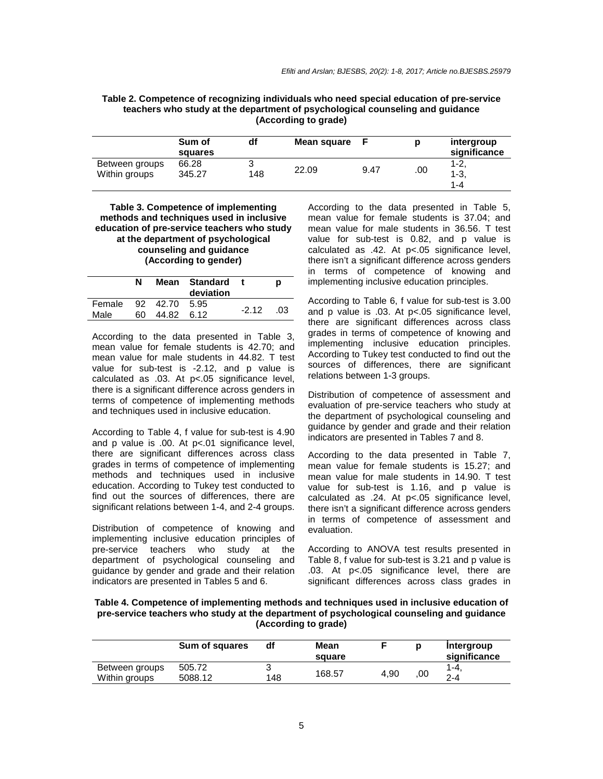| Table 2. Competence of recognizing individuals who need special education of pre-service |
|------------------------------------------------------------------------------------------|
| teachers who study at the department of psychological counseling and guidance            |
| (According to grade)                                                                     |

|                | Sum of<br>squares | df  | Mean square |      |     | intergroup<br>significance |
|----------------|-------------------|-----|-------------|------|-----|----------------------------|
| Between groups | 66.28             | ບ   |             |      |     | $1 - 2$                    |
| Within groups  | 345.27            | 148 | 22.09       | 9.47 | .00 | $1-3,$                     |
|                |                   |     |             |      |     | 1-4                        |

#### **Table 3. Competence of implementing methods and techniques used in inclusive education of pre-service teachers who study at the department of psychological counseling and guidance (According to gender)**

|                | N  |                             | Mean Standard<br>deviation |         | D   |
|----------------|----|-----------------------------|----------------------------|---------|-----|
| Female<br>Male | 60 | 92 42.70 5.95<br>44.82 6.12 |                            | $-2.12$ | .03 |
|                |    |                             |                            |         |     |

According to the data presented in Table 3, mean value for female students is 42.70; and mean value for male students in 44.82. T test value for sub-test is -2.12, and p value is calculated as .03. At p<.05 significance level, there is a significant difference across genders in terms of competence of implementing methods and techniques used in inclusive education.

According to Table 4, f value for sub-test is 4.90 and p value is .00. At p<.01 significance level, there are significant differences across class grades in terms of competence of implementing methods and techniques used in inclusive education. According to Tukey test conducted to find out the sources of differences, there are significant relations between 1-4, and 2-4 groups.

Distribution of competence of knowing and implementing inclusive education principles of pre-service teachers who study at the department of psychological counseling and guidance by gender and grade and their relation indicators are presented in Tables 5 and 6.

According to the data presented in Table 5, mean value for female students is 37.04; and mean value for male students in 36.56. T test value for sub-test is 0.82, and p value is calculated as .42. At p<.05 significance level, there isn't a significant difference across genders in terms of competence of knowing and implementing inclusive education principles.

According to Table 6, f value for sub-test is 3.00 and p value is .03. At p<.05 significance level, there are significant differences across class grades in terms of competence of knowing and implementing inclusive education principles. According to Tukey test conducted to find out the sources of differences, there are significant relations between 1-3 groups.

Distribution of competence of assessment and evaluation of pre-service teachers who study at the department of psychological counseling and guidance by gender and grade and their relation indicators are presented in Tables 7 and 8.

According to the data presented in Table 7, mean value for female students is 15.27; and mean value for male students in 14.90. T test value for sub-test is 1.16, and p value is calculated as .24. At p<.05 significance level, there isn't a significant difference across genders in terms of competence of assessment and evaluation.

According to ANOVA test results presented in Table 8, f value for sub-test is 3.21 and p value is .03. At p<.05 significance level, there are significant differences across class grades in

**Table 4. Competence of implementing methods and techniques used in inclusive education of pre-service teachers who study at the department of psychological counseling and guidance (According to grade)** 

|                                 | Sum of squares    | df  | Mean<br>square |      | Ŋ   | Intergroup<br>significance |
|---------------------------------|-------------------|-----|----------------|------|-----|----------------------------|
| Between groups<br>Within groups | 505.72<br>5088.12 | 148 | 168.57         | 4,90 | .00 | $1 - 4.$<br>$2 - 4$        |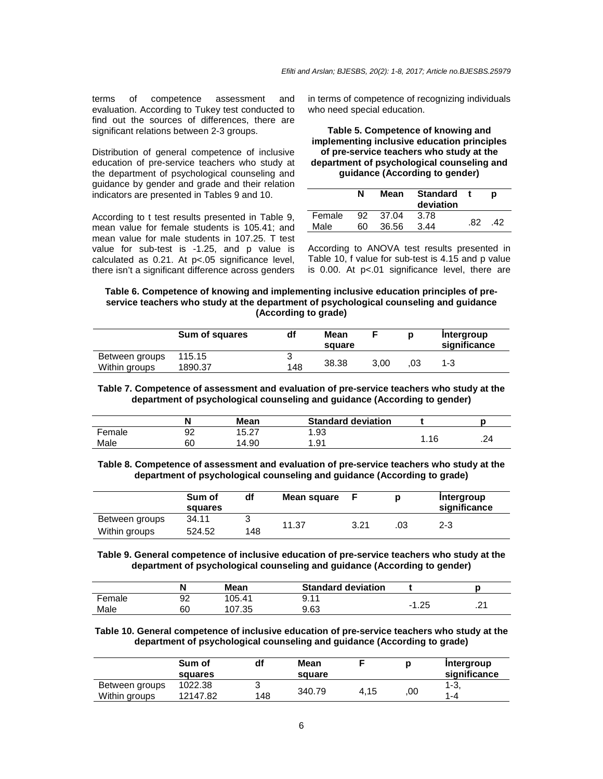terms of competence assessment and evaluation. According to Tukey test conducted to find out the sources of differences, there are significant relations between 2-3 groups.

Distribution of general competence of inclusive education of pre-service teachers who study at the department of psychological counseling and guidance by gender and grade and their relation indicators are presented in Tables 9 and 10.

According to t test results presented in Table 9, mean value for female students is 105.41; and mean value for male students in 107.25. T test value for sub-test is -1.25, and p value is calculated as 0.21. At p<.05 significance level, there isn't a significant difference across genders

in terms of competence of recognizing individuals who need special education.

#### **Table 5. Competence of knowing and implementing inclusive education principles of pre-service teachers who study at the department of psychological counseling and guidance (According to gender)**

|        | N   | Mean     | Standard t<br>deviation |     |     |
|--------|-----|----------|-------------------------|-----|-----|
| Female |     | 92 37.04 | 3.78                    |     |     |
| Male   | 60. | 36.56    | 3.44                    | .82 | .42 |

According to ANOVA test results presented in Table 10, f value for sub-test is 4.15 and p value is 0.00. At p<.01 significance level, there are

#### **Table 6. Competence of knowing and implementing inclusive education principles of preservice teachers who study at the department of psychological counseling and guidance (According to grade)**

|                                 | Sum of squares    | df  | Mean<br>square |      |     | Intergroup<br>significance |
|---------------------------------|-------------------|-----|----------------|------|-----|----------------------------|
| Between groups<br>Within groups | 115.15<br>1890.37 | 148 | 38.38          | 3.00 | .03 | 1-3                        |

**Table 7. Competence of assessment and evaluation of pre-service teachers who study at the department of psychological counseling and guidance (According to gender)** 

|        |    | Mean  | <b>Standard deviation</b> |      |     |
|--------|----|-------|---------------------------|------|-----|
| Female | 92 | 15.27 | .93                       |      |     |
| Male   | 60 | 14.90 | .91                       | .16، | .24 |

**Table 8. Competence of assessment and evaluation of pre-service teachers who study at the department of psychological counseling and guidance (According to grade)** 

|                | Sum of<br>squares | df  | Mean square |      |    | Intergroup<br>significance |
|----------------|-------------------|-----|-------------|------|----|----------------------------|
| Between groups | 34.11             |     | 11.37       | 3.21 | 03 | 2-3                        |
| Within groups  | 524.52            | 148 |             |      |    |                            |

**Table 9. General competence of inclusive education of pre-service teachers who study at the department of psychological counseling and guidance (According to gender)** 

|        | Ν  | Mean   | <b>Standard deviation</b> |      |   |
|--------|----|--------|---------------------------|------|---|
| Female | 92 | 105.41 | 9.11                      |      | ິ |
| Male   | 60 | 107.35 | 9.63                      | ⊧.25 | . |

**Table 10. General competence of inclusive education of pre-service teachers who study at the department of psychological counseling and guidance (According to grade)** 

|                                 | Sum of<br>squares   | df  | Mean<br>square |      |     | Intergroup<br>significance |
|---------------------------------|---------------------|-----|----------------|------|-----|----------------------------|
| Between groups<br>Within groups | 1022.38<br>12147.82 | 148 | 340.79         | 4.15 | .00 | $1 - 3$<br>$1 - 4$         |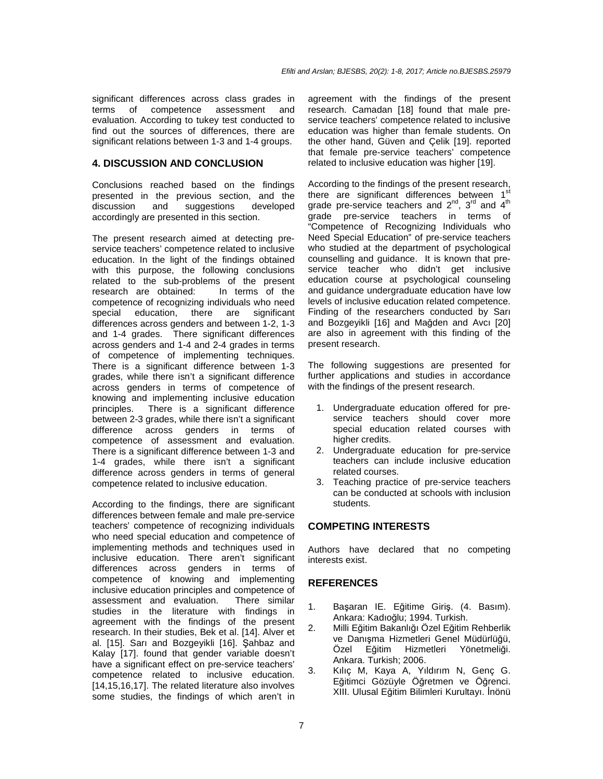significant differences across class grades in terms of competence assessment and evaluation. According to tukey test conducted to find out the sources of differences, there are significant relations between 1-3 and 1-4 groups.

## **4. DISCUSSION AND CONCLUSION**

Conclusions reached based on the findings presented in the previous section, and the discussion and suggestions developed accordingly are presented in this section.

The present research aimed at detecting preservice teachers' competence related to inclusive education. In the light of the findings obtained with this purpose, the following conclusions related to the sub-problems of the present research are obtained: In terms of the competence of recognizing individuals who need special education, there are significant differences across genders and between 1-2, 1-3 and 1-4 grades. There significant differences across genders and 1-4 and 2-4 grades in terms of competence of implementing techniques. There is a significant difference between 1-3 grades, while there isn't a significant difference across genders in terms of competence of knowing and implementing inclusive education principles. There is a significant difference between 2-3 grades, while there isn't a significant difference across genders in terms of competence of assessment and evaluation. There is a significant difference between 1-3 and 1-4 grades, while there isn't a significant difference across genders in terms of general competence related to inclusive education.

According to the findings, there are significant differences between female and male pre-service teachers' competence of recognizing individuals who need special education and competence of implementing methods and techniques used in inclusive education. There aren't significant differences across genders in terms of competence of knowing and implementing inclusive education principles and competence of assessment and evaluation. There similar studies in the literature with findings in agreement with the findings of the present research. In their studies, Bek et al. [14]. Alver et al. [15]. Sarı and Bozgeyikli [16]. Şahbaz and Kalay [17]. found that gender variable doesn't have a significant effect on pre-service teachers' competence related to inclusive education. [14,15,16,17]. The related literature also involves some studies, the findings of which aren't in

agreement with the findings of the present research. Camadan [18] found that male preservice teachers' competence related to inclusive education was higher than female students. On the other hand, Güven and Çelik [19]. reported that female pre-service teachers' competence related to inclusive education was higher [19].

According to the findings of the present research, there are significant differences between 1<sup>st</sup> grade pre-service teachers and  $2^{nd}$ ,  $3^{rd}$  and  $4^{th}$ grade pre-service teachers in terms of "Competence of Recognizing Individuals who Need Special Education" of pre-service teachers who studied at the department of psychological counselling and guidance. It is known that preservice teacher who didn't get inclusive education course at psychological counseling and guidance undergraduate education have low levels of inclusive education related competence. Finding of the researchers conducted by Sarı and Bozgeyikli [16] and Mağden and Avcı [20] are also in agreement with this finding of the present research.

The following suggestions are presented for further applications and studies in accordance with the findings of the present research.

- 1. Undergraduate education offered for preservice teachers should cover more special education related courses with higher credits.
- 2. Undergraduate education for pre-service teachers can include inclusive education related courses.
- 3. Teaching practice of pre-service teachers can be conducted at schools with inclusion students.

## **COMPETING INTERESTS**

Authors have declared that no competing interests exist.

#### **REFERENCES**

- 1. Başaran IE. Eğitime Giriş. (4. Basım). Ankara: Kadıoğlu; 1994. Turkish.
- 2. Milli Eğitim Bakanlığı Özel Eğitim Rehberlik ve Danışma Hizmetleri Genel Müdürlüğü,<br>Özel Eğitim Hizmetleri Yönetmeliği. Özel Eğitim Hizmetleri Yönetmeliği. Ankara. Turkish; 2006.
- 3. Kılıç M, Kaya A, Yıldırım N, Genç G. Eğitimci Gözüyle Öğretmen ve Öğrenci. XIII. Ulusal Eğitim Bilimleri Kurultayı. İnönü